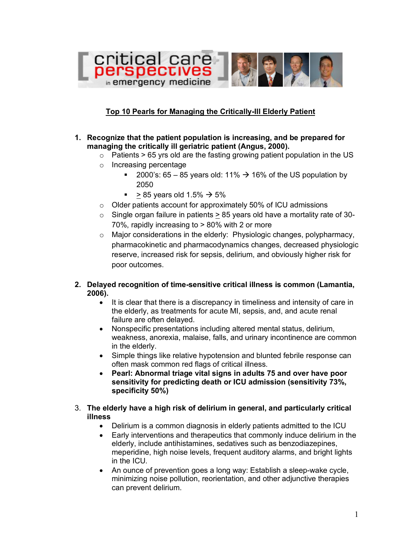

## **Top 10 Pearls for Managing the Critically-Ill Elderly Patient**

- **1. Recognize that the patient population is increasing, and be prepared for managing the critically ill geriatric patient (Angus, 2000).**
	- $\circ$  Patients > 65 yrs old are the fasting growing patient population in the US
	- o Increasing percentage
		- 2000's:  $65 85$  years old: 11%  $\rightarrow$  16% of the US population by 2050
		- $> 85$  years old 1.5%  $\rightarrow$  5%
	- o Older patients account for approximately 50% of ICU admissions
	- $\circ$  Single organ failure in patients > 85 years old have a mortality rate of 30-70%, rapidly increasing to > 80% with 2 or more
	- o Major considerations in the elderly: Physiologic changes, polypharmacy, pharmacokinetic and pharmacodynamics changes, decreased physiologic reserve, increased risk for sepsis, delirium, and obviously higher risk for poor outcomes.
- **2. Delayed recognition of time-sensitive critical illness is common (Lamantia, 2006).**
	- It is clear that there is a discrepancy in timeliness and intensity of care in the elderly, as treatments for acute MI, sepsis, and, and acute renal failure are often delayed.
	- Nonspecific presentations including altered mental status, delirium, weakness, anorexia, malaise, falls, and urinary incontinence are common in the elderly.
	- Simple things like relative hypotension and blunted febrile response can often mask common red flags of critical illness.
	- **Pearl: Abnormal triage vital signs in adults 75 and over have poor sensitivity for predicting death or ICU admission (sensitivity 73%, specificity 50%)**
- 3. **The elderly have a high risk of delirium in general, and particularly critical illness** 
	- Delirium is a common diagnosis in elderly patients admitted to the ICU
	- Early interventions and therapeutics that commonly induce delirium in the elderly, include antihistamines, sedatives such as benzodiazepines, meperidine, high noise levels, frequent auditory alarms, and bright lights in the ICU.
	- An ounce of prevention goes a long way: Establish a sleep-wake cycle, minimizing noise pollution, reorientation, and other adjunctive therapies can prevent delirium.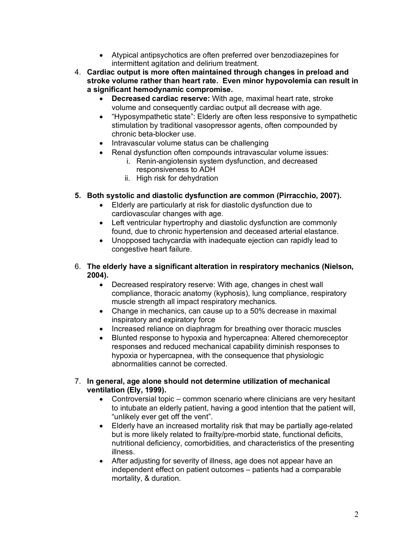- Atypical antipsychotics are often preferred over benzodiazepines for intermittent agitation and delirium treatment.
- 4. **Cardiac output is more often maintained through changes in preload and stroke volume rather than heart rate. Even minor hypovolemia can result in a significant hemodynamic compromise.**
	- **Decreased cardiac reserve:** With age, maximal heart rate, stroke volume and consequently cardiac output all decrease with age.
	- "Hyposympathetic state": Elderly are often less responsive to sympathetic stimulation by traditional vasopressor agents, often compounded by chronic beta-blocker use.
	- Intravascular volume status can be challenging
	- Renal dysfunction often compounds intravascular volume issues:
		- i. Renin-angiotensin system dysfunction, and decreased responsiveness to ADH
		- ii. High risk for dehydration
- **5. Both systolic and diastolic dysfunction are common (Pirracchio, 2007).**
	- Elderly are particularly at risk for diastolic dysfunction due to cardiovascular changes with age.
	- Left ventricular hypertrophy and diastolic dysfunction are commonly found, due to chronic hypertension and deceased arterial elastance.
	- Unopposed tachycardia with inadequate ejection can rapidly lead to congestive heart failure.
- 6. **The elderly have a significant alteration in respiratory mechanics (Nielson, 2004).**
	- Decreased respiratory reserve: With age, changes in chest wall compliance, thoracic anatomy (kyphosis), lung compliance, respiratory muscle strength all impact respiratory mechanics.
	- Change in mechanics, can cause up to a 50% decrease in maximal inspiratory and expiratory force
	- Increased reliance on diaphragm for breathing over thoracic muscles
	- Blunted response to hypoxia and hypercapnea: Altered chemoreceptor responses and reduced mechanical capability diminish responses to hypoxia or hypercapnea, with the consequence that physiologic abnormalities cannot be corrected.
- 7. **In general, age alone should not determine utilization of mechanical ventilation (Ely, 1999).**
	- Controversial topic common scenario where clinicians are very hesitant to intubate an elderly patient, having a good intention that the patient will, "unlikely ever get off the vent".
	- Elderly have an increased mortality risk that may be partially age-related but is more likely related to frailty/pre-morbid state, functional deficits, nutritional deficiency, comorbidities, and characteristics of the presenting illness.
	- After adjusting for severity of illness, age does not appear have an independent effect on patient outcomes – patients had a comparable mortality, & duration.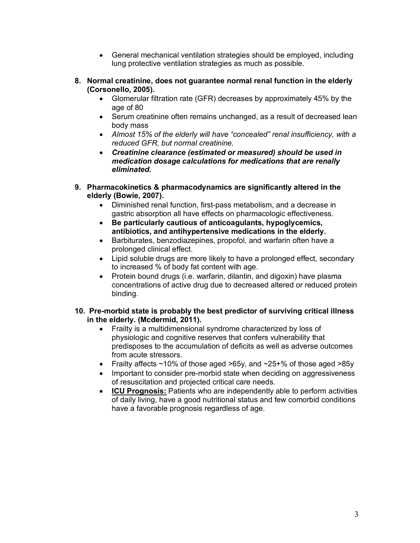- General mechanical ventilation strategies should be employed, including lung protective ventilation strategies as much as possible.
- **8. Normal creatinine, does not guarantee normal renal function in the elderly (Corsonello, 2005).**
	- Glomerular filtration rate (GFR) decreases by approximately 45% by the age of 80
	- Serum creatinine often remains unchanged, as a result of decreased lean body mass
	- *Almost 15% of the elderly will have "concealed" renal insufficiency, with a reduced GFR, but normal creatinine.*
	- *Creatinine clearance (estimated or measured) should be used in medication dosage calculations for medications that are renally eliminated.*
- **9. Pharmacokinetics & pharmacodynamics are significantly altered in the elderly (Bowie, 2007).**
	- Diminished renal function, first-pass metabolism, and a decrease in gastric absorption all have effects on pharmacologic effectiveness.
	- **Be particularly cautious of anticoagulants, hypoglycemics, antibiotics, and antihypertensive medications in the elderly.**
	- Barbiturates, benzodiazepines, propofol, and warfarin often have a prolonged clinical effect.
	- Lipid soluble drugs are more likely to have a prolonged effect, secondary to increased % of body fat content with age.
	- Protein bound drugs (i.e. warfarin, dilantin, and digoxin) have plasma concentrations of active drug due to decreased altered or reduced protein binding.
- **10. Pre-morbid state is probably the best predictor of surviving critical illness in the elderly. (Mcdermid, 2011).**
	- Frailty is a multidimensional syndrome characterized by loss of physiologic and cognitive reserves that confers vulnerability that predisposes to the accumulation of deficits as well as adverse outcomes from acute stressors.
	- Frailty affects ~10% of those aged >65y, and ~25+% of those aged >85y
	- Important to consider pre-morbid state when deciding on aggressiveness of resuscitation and projected critical care needs.
	- **ICU Prognosis:** Patients who are independently able to perform activities of daily living, have a good nutritional status and few comorbid conditions have a favorable prognosis regardless of age.